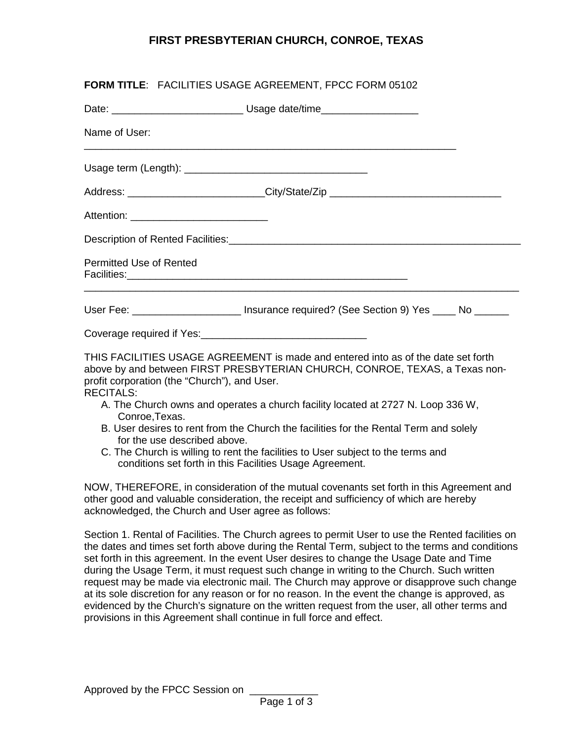## **FIRST PRESBYTERIAN CHURCH, CONROE, TEXAS**

| FORM TITLE: FACILITIES USAGE AGREEMENT, FPCC FORM 05102                                                            |                                                                                                                                                                                                                                                                                                                                                                                                                                                                                               |  |
|--------------------------------------------------------------------------------------------------------------------|-----------------------------------------------------------------------------------------------------------------------------------------------------------------------------------------------------------------------------------------------------------------------------------------------------------------------------------------------------------------------------------------------------------------------------------------------------------------------------------------------|--|
|                                                                                                                    |                                                                                                                                                                                                                                                                                                                                                                                                                                                                                               |  |
| Name of User:                                                                                                      |                                                                                                                                                                                                                                                                                                                                                                                                                                                                                               |  |
|                                                                                                                    |                                                                                                                                                                                                                                                                                                                                                                                                                                                                                               |  |
|                                                                                                                    | Address: __________________________City/State/Zip ______________________________                                                                                                                                                                                                                                                                                                                                                                                                              |  |
| Attention: ________________________________                                                                        |                                                                                                                                                                                                                                                                                                                                                                                                                                                                                               |  |
|                                                                                                                    |                                                                                                                                                                                                                                                                                                                                                                                                                                                                                               |  |
| <b>Permitted Use of Rented</b>                                                                                     |                                                                                                                                                                                                                                                                                                                                                                                                                                                                                               |  |
|                                                                                                                    | User Fee: ____________________________ Insurance required? (See Section 9) Yes _____ No _______                                                                                                                                                                                                                                                                                                                                                                                               |  |
|                                                                                                                    |                                                                                                                                                                                                                                                                                                                                                                                                                                                                                               |  |
| profit corporation (the "Church"), and User.<br><b>RECITALS:</b><br>Conroe, Texas.<br>for the use described above. | THIS FACILITIES USAGE AGREEMENT is made and entered into as of the date set forth<br>above by and between FIRST PRESBYTERIAN CHURCH, CONROE, TEXAS, a Texas non-<br>A. The Church owns and operates a church facility located at 2727 N. Loop 336 W,<br>B. User desires to rent from the Church the facilities for the Rental Term and solely<br>C. The Church is willing to rent the facilities to User subject to the terms and<br>conditions set forth in this Facilities Usage Agreement. |  |

NOW, THEREFORE, in consideration of the mutual covenants set forth in this Agreement and other good and valuable consideration, the receipt and sufficiency of which are hereby acknowledged, the Church and User agree as follows:

Section 1. Rental of Facilities. The Church agrees to permit User to use the Rented facilities on the dates and times set forth above during the Rental Term, subject to the terms and conditions set forth in this agreement. In the event User desires to change the Usage Date and Time during the Usage Term, it must request such change in writing to the Church. Such written request may be made via electronic mail. The Church may approve or disapprove such change at its sole discretion for any reason or for no reason. In the event the change is approved, as evidenced by the Church's signature on the written request from the user, all other terms and provisions in this Agreement shall continue in full force and effect.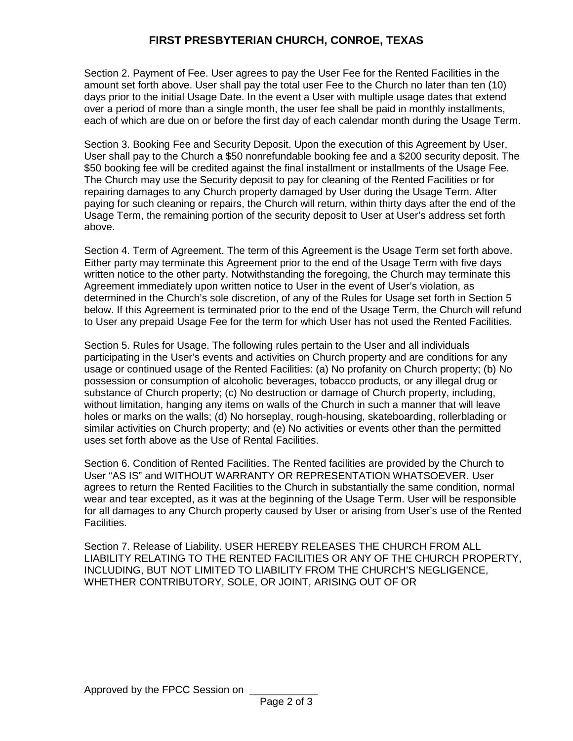Section 2. Payment of Fee. User agrees to pay the User Fee for the Rented Facilities in the amount set forth above. User shall pay the total user Fee to the Church no later than ten (10) days prior to the initial Usage Date. In the event a User with multiple usage dates that extend over a period of more than a single month, the user fee shall be paid in monthly installments, each of which are due on or before the first day of each calendar month during the Usage Term.

Section 3. Booking Fee and Security Deposit. Upon the execution of this Agreement by User, User shall pay to the Church a \$50 nonrefundable booking fee and a \$200 security deposit. The \$50 booking fee will be credited against the final installment or installments of the Usage Fee. The Church may use the Security deposit to pay for cleaning of the Rented Facilities or for repairing damages to any Church property damaged by User during the Usage Term. After paying for such cleaning or repairs, the Church will return, within thirty days after the end of the Usage Term, the remaining portion of the security deposit to User at User's address set forth above.

Section 4. Term of Agreement. The term of this Agreement is the Usage Term set forth above. Either party may terminate this Agreement prior to the end of the Usage Term with five days written notice to the other party. Notwithstanding the foregoing, the Church may terminate this Agreement immediately upon written notice to User in the event of User's violation, as determined in the Church's sole discretion, of any of the Rules for Usage set forth in Section 5 below. If this Agreement is terminated prior to the end of the Usage Term, the Church will refund to User any prepaid Usage Fee for the term for which User has not used the Rented Facilities.

Section 5. Rules for Usage. The following rules pertain to the User and all individuals participating in the User's events and activities on Church property and are conditions for any usage or continued usage of the Rented Facilities: (a) No profanity on Church property; (b) No possession or consumption of alcoholic beverages, tobacco products, or any illegal drug or substance of Church property; (c) No destruction or damage of Church property, including, without limitation, hanging any items on walls of the Church in such a manner that will leave holes or marks on the walls; (d) No horseplay, rough-housing, skateboarding, rollerblading or similar activities on Church property; and (e) No activities or events other than the permitted uses set forth above as the Use of Rental Facilities.

Section 6. Condition of Rented Facilities. The Rented facilities are provided by the Church to User "AS IS" and WITHOUT WARRANTY OR REPRESENTATION WHATSOEVER. User agrees to return the Rented Facilities to the Church in substantially the same condition, normal wear and tear excepted, as it was at the beginning of the Usage Term. User will be responsible for all damages to any Church property caused by User or arising from User's use of the Rented Facilities.

Section 7. Release of Liability. USER HEREBY RELEASES THE CHURCH FROM ALL LIABILITY RELATING TO THE RENTED FACILITIES OR ANY OF THE CHURCH PROPERTY, INCLUDING, BUT NOT LIMITED TO LIABILITY FROM THE CHURCH'S NEGLIGENCE, WHETHER CONTRIBUTORY, SOLE, OR JOINT, ARISING OUT OF OR